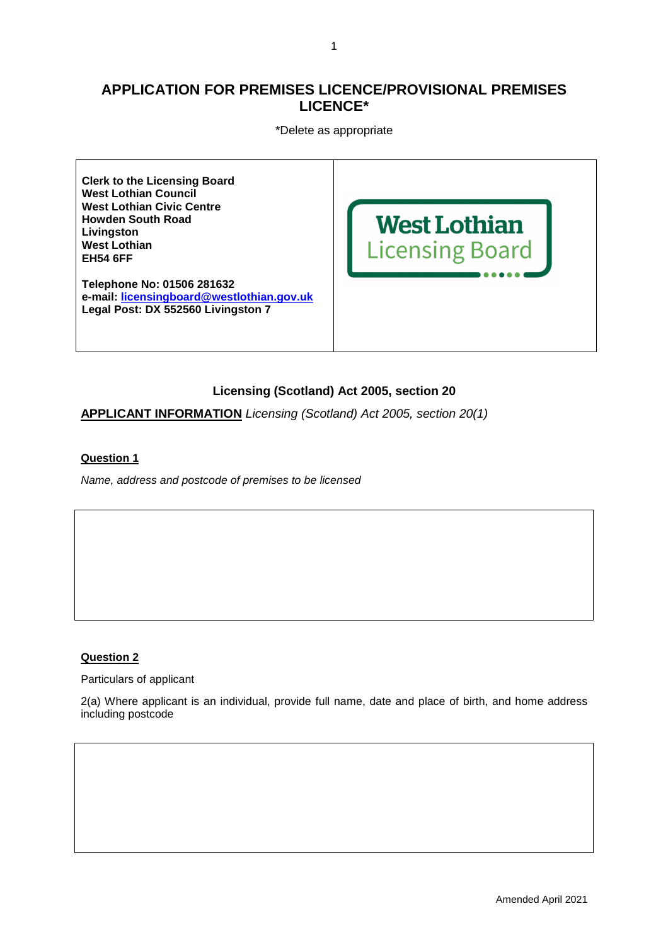# **APPLICATION FOR PREMISES LICENCE/PROVISIONAL PREMISES LICENCE\***

\*Delete as appropriate

**Clerk to the Licensing Board West Lothian Council West Lothian Civic Centre Howden South Road Livingston West Lothian EH54 6FF** 

**Telephone No: 01506 281632 e-mail: licensingboard@westlothian.gov.uk Legal Post: DX 552560 Livingston 7** 



# **Licensing (Scotland) Act 2005, section 20**

**APPLICANT INFORMATION** Licensing (Scotland) Act 2005, section 20(1)

### **Question 1**

Name, address and postcode of premises to be licensed

### **Question 2**

Particulars of applicant

2(a) Where applicant is an individual, provide full name, date and place of birth, and home address including postcode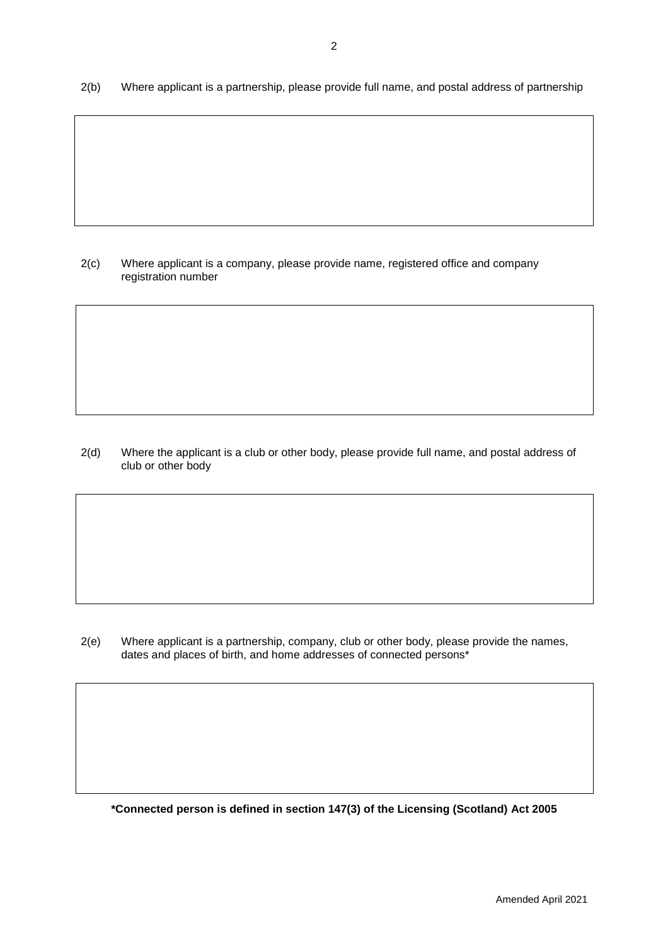2(c) Where applicant is a company, please provide name, registered office and company registration number

2(d) Where the applicant is a club or other body, please provide full name, and postal address of club or other body

2(e) Where applicant is a partnership, company, club or other body, please provide the names, dates and places of birth, and home addresses of connected persons\*

**\*Connected person is defined in section 147(3) of the Licensing (Scotland) Act 2005**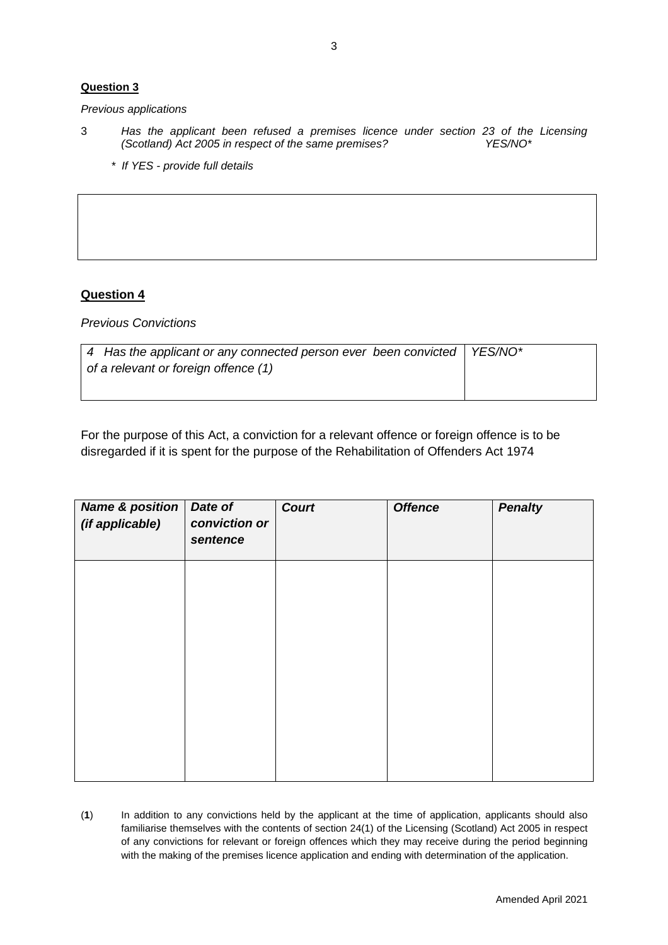Previous applications

- 3 Has the applicant been refused a premises licence under section 23 of the Licensing (Scotland) Act 2005 in respect of the same premises? YES/NO\*
	- \* If YES provide full details

# **Question 4**

Previous Convictions

| $\vert$ 4 Has the applicant or any connected person ever been convicted $\vert$ YES/NO* |  |
|-----------------------------------------------------------------------------------------|--|
| of a relevant or foreign offence (1)                                                    |  |
|                                                                                         |  |

For the purpose of this Act, a conviction for a relevant offence or foreign offence is to be disregarded if it is spent for the purpose of the Rehabilitation of Offenders Act 1974

| <b>Name &amp; position</b><br>(if applicable) | Date of<br>conviction or<br>sentence | <b>Court</b> | <b>Offence</b> | <b>Penalty</b> |
|-----------------------------------------------|--------------------------------------|--------------|----------------|----------------|
|                                               |                                      |              |                |                |
|                                               |                                      |              |                |                |
|                                               |                                      |              |                |                |
|                                               |                                      |              |                |                |

(**1**) In addition to any convictions held by the applicant at the time of application, applicants should also familiarise themselves with the contents of section 24(1) of the Licensing (Scotland) Act 2005 in respect of any convictions for relevant or foreign offences which they may receive during the period beginning with the making of the premises licence application and ending with determination of the application.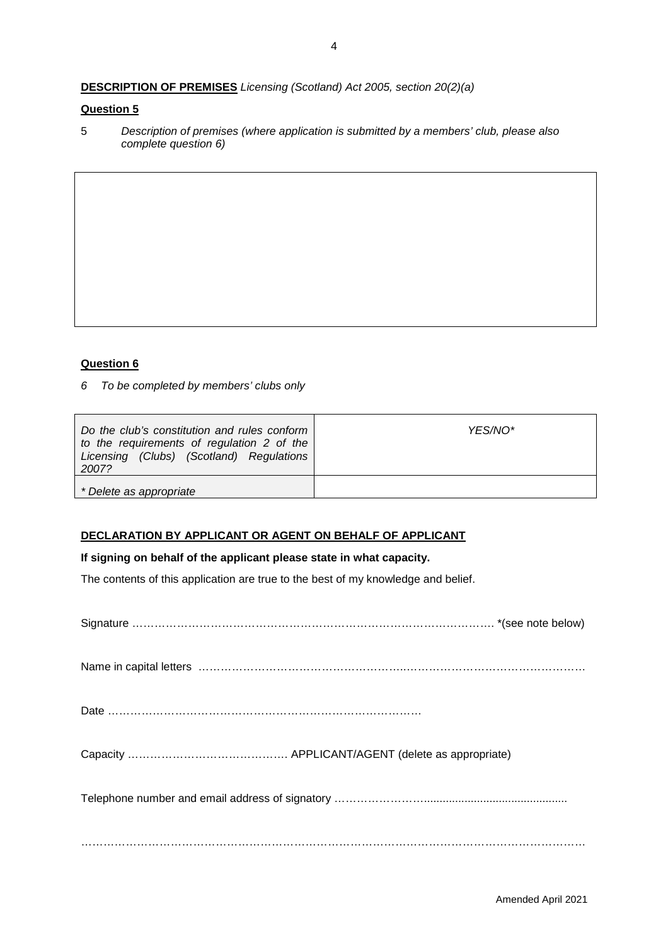# **DESCRIPTION OF PREMISES** Licensing (Scotland) Act 2005, section 20(2)(a)

### **Question 5**

5 Description of premises (where application is submitted by a members' club, please also complete question 6)

# **Question 6**

6 To be completed by members' clubs only

| Do the club's constitution and rules conform<br>to the requirements of regulation 2 of the<br>Licensing (Clubs) (Scotland) Regulations<br>2007? | YES/NO* |
|-------------------------------------------------------------------------------------------------------------------------------------------------|---------|
| * Delete as appropriate                                                                                                                         |         |

### **DECLARATION BY APPLICANT OR AGENT ON BEHALF OF APPLICANT**

### **If signing on behalf of the applicant please state in what capacity.**

The contents of this application are true to the best of my knowledge and belief.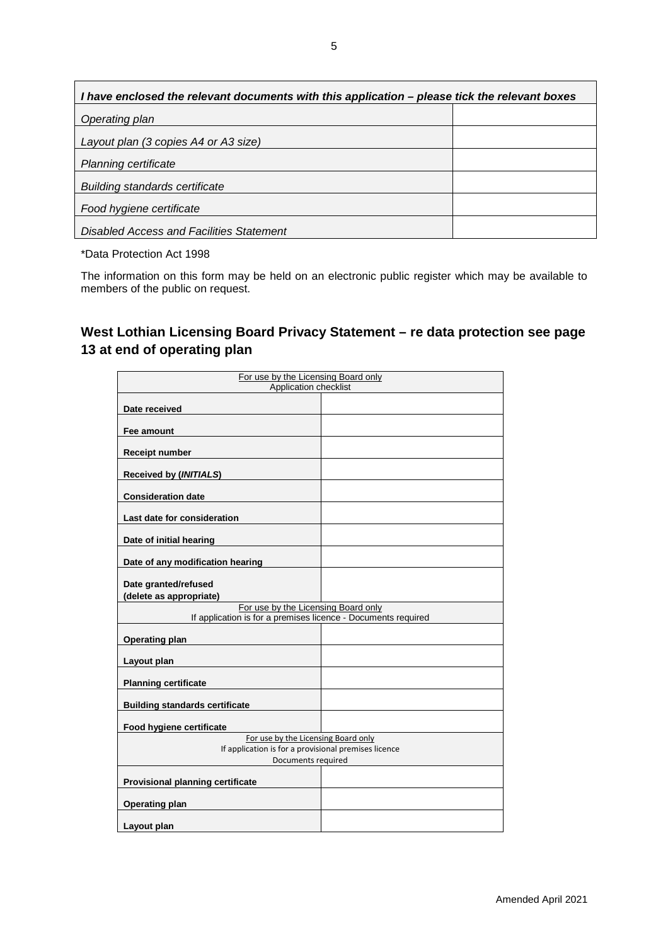| I have enclosed the relevant documents with this application – please tick the relevant boxes |  |  |  |
|-----------------------------------------------------------------------------------------------|--|--|--|
| Operating plan                                                                                |  |  |  |
| Layout plan (3 copies A4 or A3 size)                                                          |  |  |  |
| <b>Planning certificate</b>                                                                   |  |  |  |
| <b>Building standards certificate</b>                                                         |  |  |  |
| Food hygiene certificate                                                                      |  |  |  |
| Disabled Access and Facilities Statement                                                      |  |  |  |

\*Data Protection Act 1998

The information on this form may be held on an electronic public register which may be available to members of the public on request.

# **West Lothian Licensing Board Privacy Statement – re data protection see page 13 at end of operating plan**

| For use by the Licensing Board only                           |  |  |
|---------------------------------------------------------------|--|--|
| Application checklist                                         |  |  |
|                                                               |  |  |
| Date received                                                 |  |  |
|                                                               |  |  |
| Fee amount                                                    |  |  |
| <b>Receipt number</b>                                         |  |  |
| Received by (INITIALS)                                        |  |  |
| <b>Consideration date</b>                                     |  |  |
| Last date for consideration                                   |  |  |
| Date of initial hearing                                       |  |  |
| Date of any modification hearing                              |  |  |
| Date granted/refused<br>(delete as appropriate)               |  |  |
| For use by the Licensing Board only                           |  |  |
| If application is for a premises licence - Documents required |  |  |
| <b>Operating plan</b>                                         |  |  |
| Layout plan                                                   |  |  |
| <b>Planning certificate</b>                                   |  |  |
| <b>Building standards certificate</b>                         |  |  |
| Food hygiene certificate                                      |  |  |
| For use by the Licensing Board only                           |  |  |
| If application is for a provisional premises licence          |  |  |
| Documents required                                            |  |  |
| Provisional planning certificate                              |  |  |
| <b>Operating plan</b>                                         |  |  |
| Layout plan                                                   |  |  |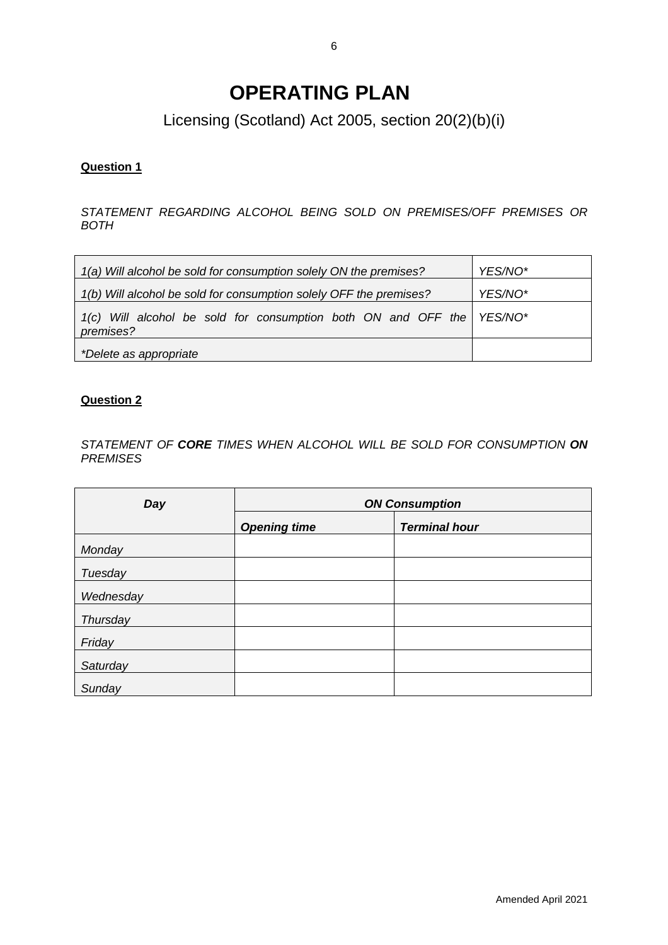# **OPERATING PLAN**

Licensing (Scotland) Act 2005, section 20(2)(b)(i)

# **Question 1**

STATEMENT REGARDING ALCOHOL BEING SOLD ON PREMISES/OFF PREMISES OR BOTH

| 1(a) Will alcohol be sold for consumption solely ON the premises?                  | YES/NO* |
|------------------------------------------------------------------------------------|---------|
| 1(b) Will alcohol be sold for consumption solely OFF the premises?                 | YES/NO* |
| 1(c) Will alcohol be sold for consumption both ON and OFF the YES/NO*<br>premises? |         |
| *Delete as appropriate                                                             |         |

# **Question 2**

STATEMENT OF **CORE** TIMES WHEN ALCOHOL WILL BE SOLD FOR CONSUMPTION **ON PREMISES** 

| Day       | <b>ON Consumption</b> |                      |  |
|-----------|-----------------------|----------------------|--|
|           | <b>Opening time</b>   | <b>Terminal hour</b> |  |
| Monday    |                       |                      |  |
| Tuesday   |                       |                      |  |
| Wednesday |                       |                      |  |
| Thursday  |                       |                      |  |
| Friday    |                       |                      |  |
| Saturday  |                       |                      |  |
| Sunday    |                       |                      |  |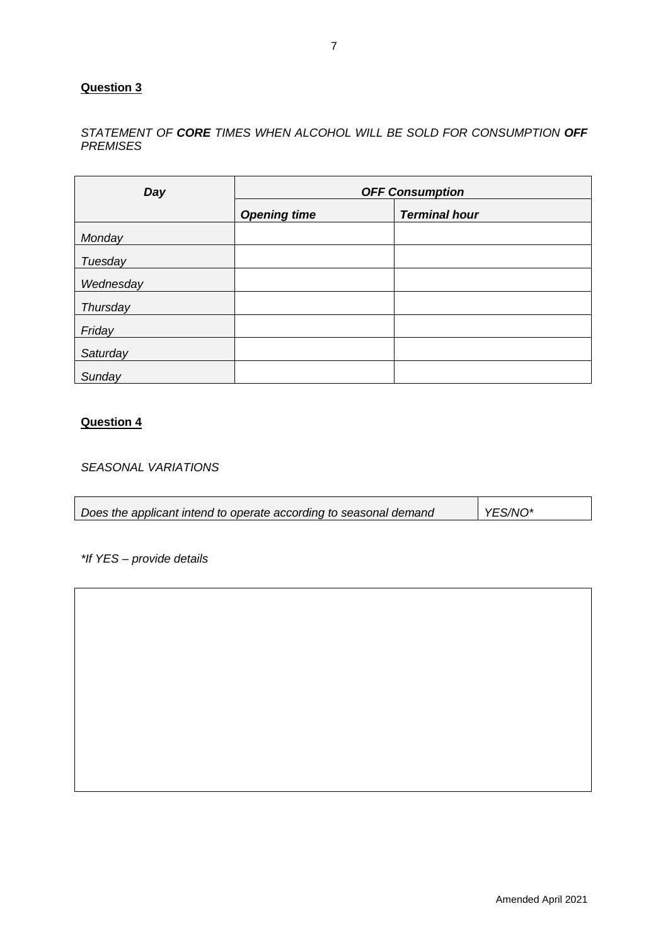# STATEMENT OF **CORE** TIMES WHEN ALCOHOL WILL BE SOLD FOR CONSUMPTION **OFF PREMISES**

| Day       | <b>OFF Consumption</b> |                      |  |
|-----------|------------------------|----------------------|--|
|           | <b>Opening time</b>    | <b>Terminal hour</b> |  |
| Monday    |                        |                      |  |
| Tuesday   |                        |                      |  |
| Wednesday |                        |                      |  |
| Thursday  |                        |                      |  |
| Friday    |                        |                      |  |
| Saturday  |                        |                      |  |
| Sunday    |                        |                      |  |

## **Question 4**

SEASONAL VARIATIONS

| YES/NO*<br>Does the applicant intend to operate according to seasonal demand |
|------------------------------------------------------------------------------|
|------------------------------------------------------------------------------|

\*If YES – provide details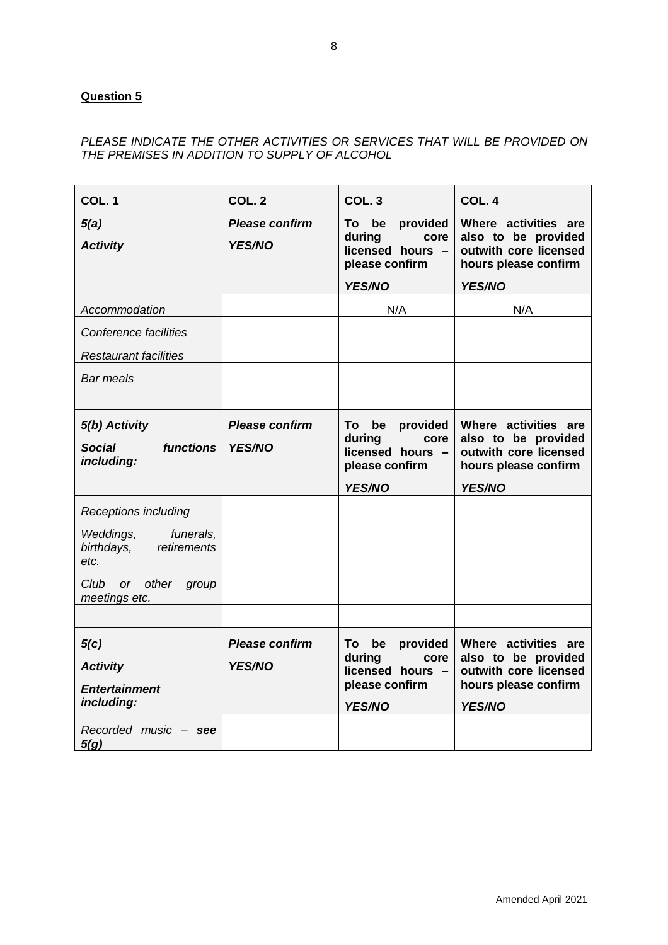# PLEASE INDICATE THE OTHER ACTIVITIES OR SERVICES THAT WILL BE PROVIDED ON THE PREMISES IN ADDITION TO SUPPLY OF ALCOHOL

| COL. 1<br>5(a)<br><b>Activity</b>                                                                                | COL. <sub>2</sub><br><b>Please confirm</b><br><b>YES/NO</b> | COL.3<br>To be<br>provided<br>during<br>core<br>licensed hours -<br>please confirm<br>YES/NO | COL. 4<br>Where activities are<br>also to be provided<br>outwith core licensed<br>hours please confirm<br>YES/NO |
|------------------------------------------------------------------------------------------------------------------|-------------------------------------------------------------|----------------------------------------------------------------------------------------------|------------------------------------------------------------------------------------------------------------------|
| Accommodation                                                                                                    |                                                             | N/A                                                                                          | N/A                                                                                                              |
| Conference facilities                                                                                            |                                                             |                                                                                              |                                                                                                                  |
| Restaurant facilities                                                                                            |                                                             |                                                                                              |                                                                                                                  |
| <b>Bar meals</b>                                                                                                 |                                                             |                                                                                              |                                                                                                                  |
|                                                                                                                  |                                                             |                                                                                              |                                                                                                                  |
| 5(b) Activity<br>functions<br><b>Social</b><br>including:                                                        | <b>Please confirm</b><br>YES/NO                             | To be<br>provided<br>during<br>core<br>licensed hours -<br>please confirm<br>YES/NO          | Where activities are<br>also to be provided<br>outwith core licensed<br>hours please confirm<br>YES/NO           |
| Receptions including<br>Weddings,<br>funerals,<br>birthdays,<br>retirements<br>etc.<br>Club or<br>other<br>group |                                                             |                                                                                              |                                                                                                                  |
| meetings etc.                                                                                                    |                                                             |                                                                                              |                                                                                                                  |
|                                                                                                                  |                                                             |                                                                                              |                                                                                                                  |
| 5(c)<br><b>Activity</b><br><b>Entertainment</b><br>including:<br>Recorded music - see                            | <b>Please confirm</b><br><b>YES/NO</b>                      | To be<br>provided<br>during<br>core<br>licensed hours -<br>please confirm<br>YES/NO          | Where activities are<br>also to be provided<br>outwith core licensed<br>hours please confirm<br>YES/NO           |
| 5(g)                                                                                                             |                                                             |                                                                                              |                                                                                                                  |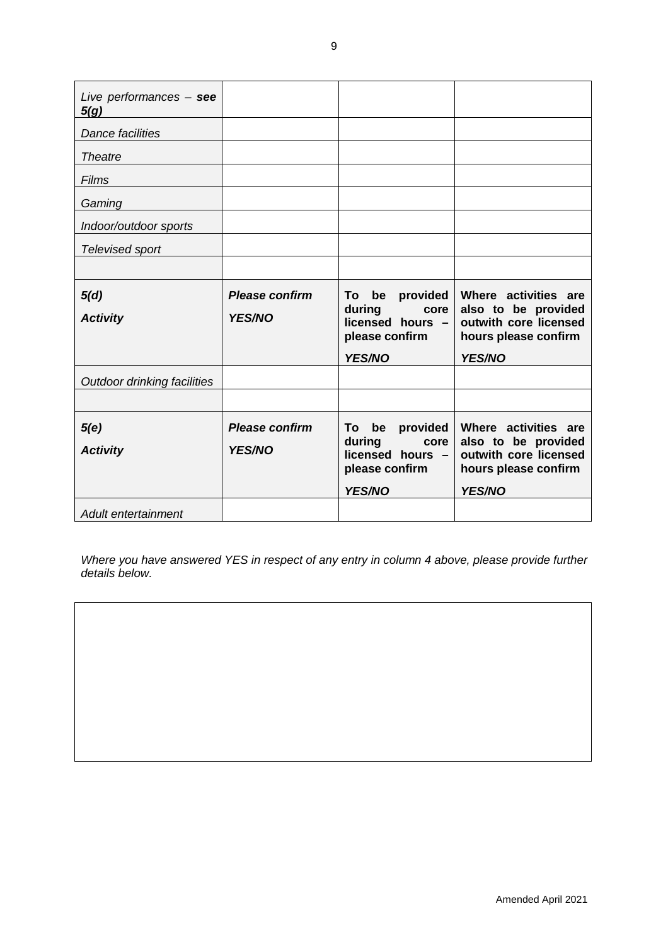| Live performances $-$ see<br>5(g) |                       |                                                      |                                                                      |
|-----------------------------------|-----------------------|------------------------------------------------------|----------------------------------------------------------------------|
| <b>Dance facilities</b>           |                       |                                                      |                                                                      |
| <b>Theatre</b>                    |                       |                                                      |                                                                      |
| Films                             |                       |                                                      |                                                                      |
| Gaming                            |                       |                                                      |                                                                      |
| Indoor/outdoor sports             |                       |                                                      |                                                                      |
| Televised sport                   |                       |                                                      |                                                                      |
|                                   |                       |                                                      |                                                                      |
| 5(d)                              | <b>Please confirm</b> | To be<br>provided                                    | Where activities are                                                 |
| <b>Activity</b>                   | <b>YES/NO</b>         | during<br>core<br>licensed hours -<br>please confirm | also to be provided<br>outwith core licensed<br>hours please confirm |
|                                   |                       | <b>YES/NO</b>                                        | <b>YES/NO</b>                                                        |
| Outdoor drinking facilities       |                       |                                                      |                                                                      |
|                                   |                       |                                                      |                                                                      |
| 5(e)                              | <b>Please confirm</b> | be provided<br>To                                    | Where activities are                                                 |
| <b>Activity</b>                   | <b>YES/NO</b>         | during<br>core<br>licensed hours -<br>please confirm | also to be provided<br>outwith core licensed<br>hours please confirm |
|                                   |                       | <b>YES/NO</b>                                        | YES/NO                                                               |
| Adult entertainment               |                       |                                                      |                                                                      |

Where you have answered YES in respect of any entry in column 4 above, please provide further details below.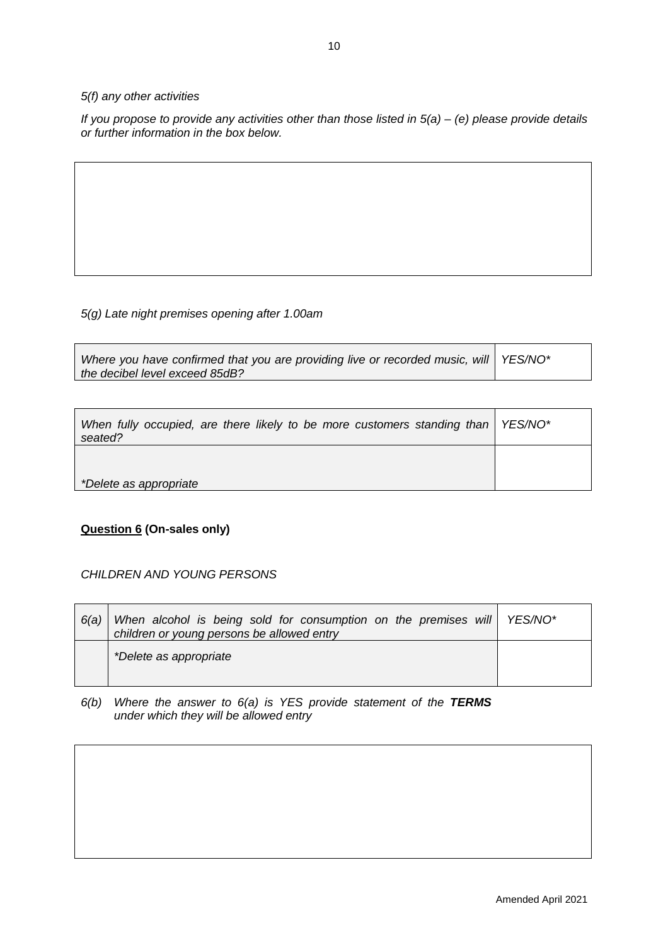### 5(f) any other activities

If you propose to provide any activities other than those listed in  $5(a) - (e)$  please provide details or further information in the box below.

### 5(g) Late night premises opening after 1.00am

| Where you have confirmed that you are providing live or recorded music, will   YES/NO* |  |
|----------------------------------------------------------------------------------------|--|
| the decibel level exceed 85dB?                                                         |  |

| When fully occupied, are there likely to be more customers standing than $\overline{\phantom{a}}$ YES/NO*<br>seated? |  |
|----------------------------------------------------------------------------------------------------------------------|--|
|                                                                                                                      |  |
| *Delete as appropriate                                                                                               |  |

# **Question 6 (On-sales only)**

### CHILDREN AND YOUNG PERSONS

| 6(a) | When alcohol is being sold for consumption on the premises will YES/NO*<br>children or young persons be allowed entry |  |
|------|-----------------------------------------------------------------------------------------------------------------------|--|
|      | *Delete as appropriate                                                                                                |  |

6(b) Where the answer to 6(a) is YES provide statement of the **TERMS** under which they will be allowed entry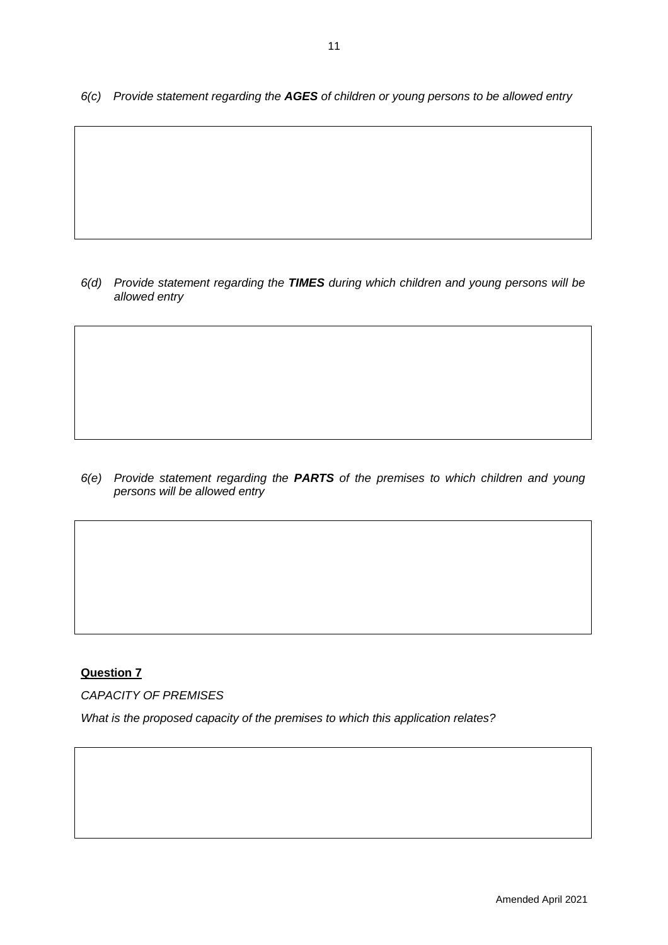6(c) Provide statement regarding the **AGES** of children or young persons to be allowed entry

6(d) Provide statement regarding the **TIMES** during which children and young persons will be allowed entry

6(e) Provide statement regarding the **PARTS** of the premises to which children and young persons will be allowed entry

# **Question 7**

CAPACITY OF PREMISES

What is the proposed capacity of the premises to which this application relates?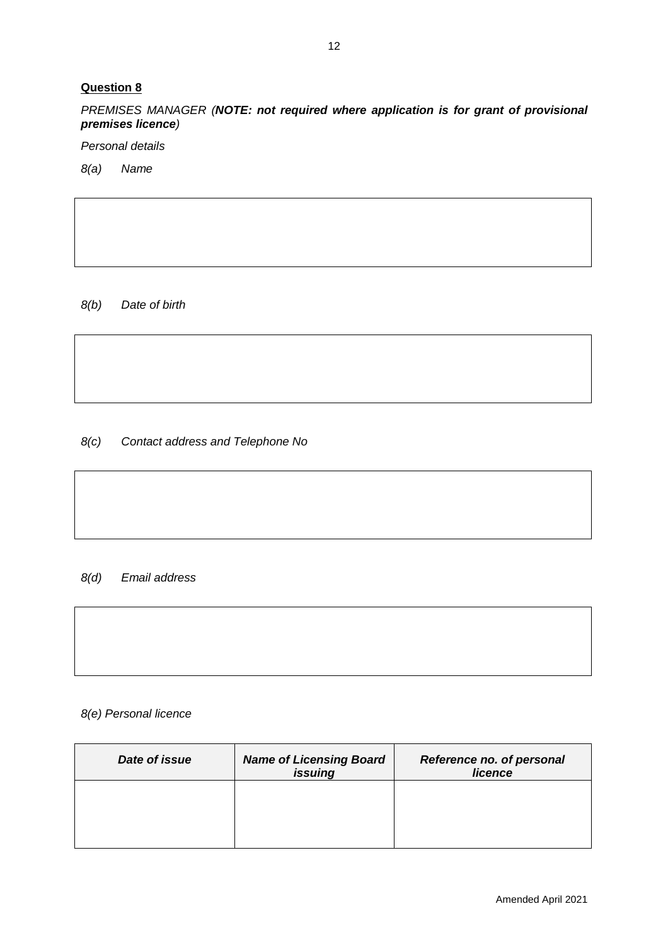PREMISES MANAGER (**NOTE: not required where application is for grant of provisional premises licence**)

Personal details

8(a) Name

8(b) Date of birth

8(c) Contact address and Telephone No

### 8(d) Email address



8(e) Personal licence

| Date of issue | <b>Name of Licensing Board</b><br>issuing | Reference no. of personal<br>licence |
|---------------|-------------------------------------------|--------------------------------------|
|               |                                           |                                      |
|               |                                           |                                      |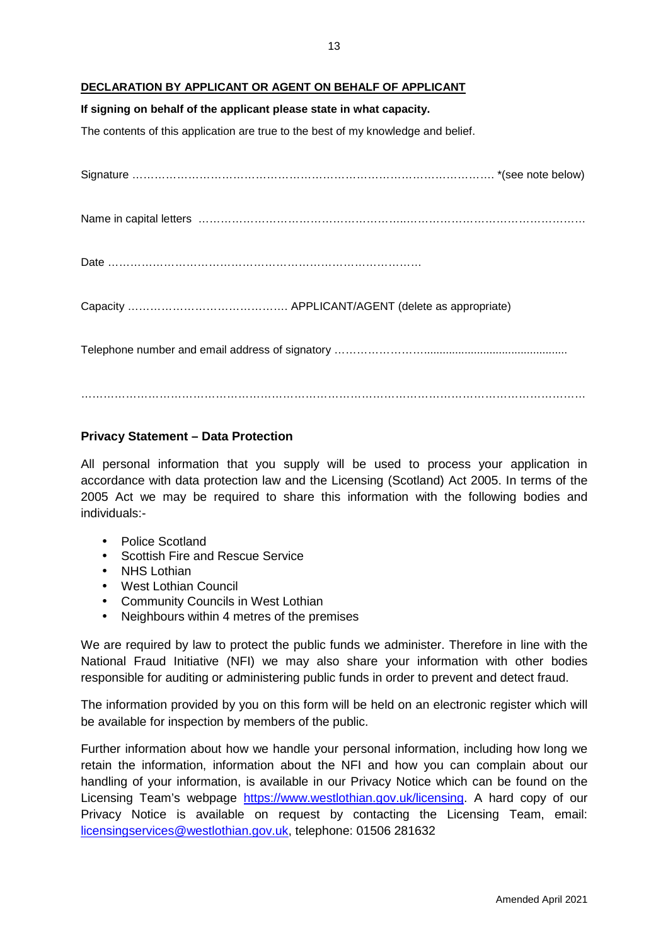### **DECLARATION BY APPLICANT OR AGENT ON BEHALF OF APPLICANT**

#### **If signing on behalf of the applicant please state in what capacity.**

The contents of this application are true to the best of my knowledge and belief.

# **Privacy Statement – Data Protection**

All personal information that you supply will be used to process your application in accordance with data protection law and the Licensing (Scotland) Act 2005. In terms of the 2005 Act we may be required to share this information with the following bodies and individuals:-

- Police Scotland
- Scottish Fire and Rescue Service
- NHS Lothian
- West Lothian Council
- Community Councils in West Lothian
- Neighbours within 4 metres of the premises

We are required by law to protect the public funds we administer. Therefore in line with the National Fraud Initiative (NFI) we may also share your information with other bodies responsible for auditing or administering public funds in order to prevent and detect fraud.

The information provided by you on this form will be held on an electronic register which will be available for inspection by members of the public.

Further information about how we handle your personal information, including how long we retain the information, information about the NFI and how you can complain about our handling of your information, is available in our Privacy Notice which can be found on the Licensing Team's webpage https://www.westlothian.gov.uk/licensing. A hard copy of our Privacy Notice is available on request by contacting the Licensing Team, email: licensingservices@westlothian.gov.uk, telephone: 01506 281632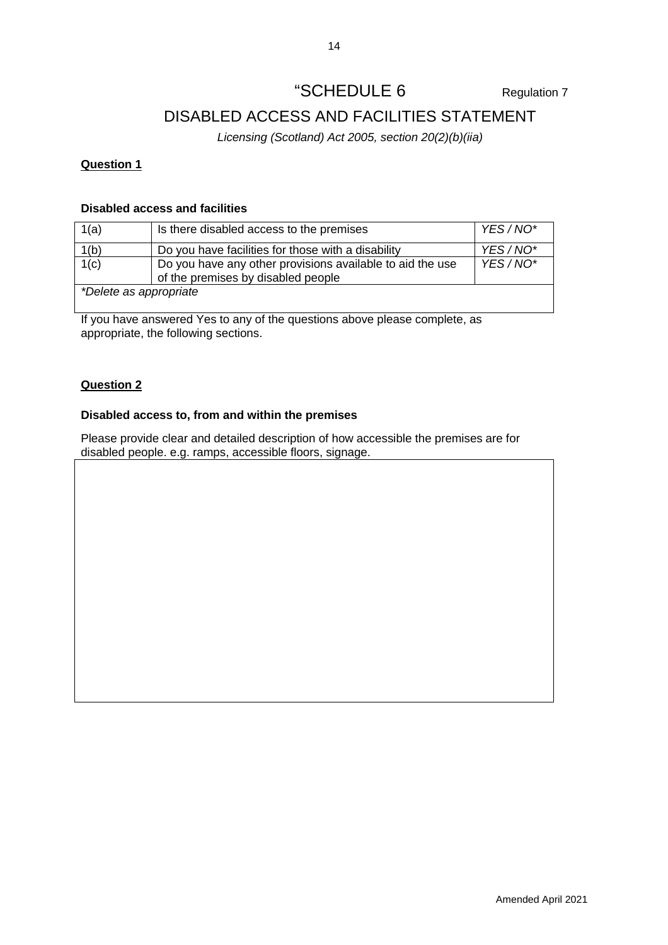# "SCHEDULE 6 Regulation 7

# DISABLED ACCESS AND FACILITIES STATEMENT

Licensing (Scotland) Act 2005, section 20(2)(b)(iia)

# **Question 1**

# **Disabled access and facilities**

| 1(a)                   | Is there disabled access to the premises                                                        | YES/NO* |
|------------------------|-------------------------------------------------------------------------------------------------|---------|
| 1(b)                   | Do you have facilities for those with a disability                                              | YES/NO* |
| 1(c)                   | Do you have any other provisions available to aid the use<br>of the premises by disabled people | YES/NO* |
| *Delete as appropriate |                                                                                                 |         |

If you have answered Yes to any of the questions above please complete, as appropriate, the following sections.

# **Question 2**

# **Disabled access to, from and within the premises**

Please provide clear and detailed description of how accessible the premises are for disabled people. e.g. ramps, accessible floors, signage.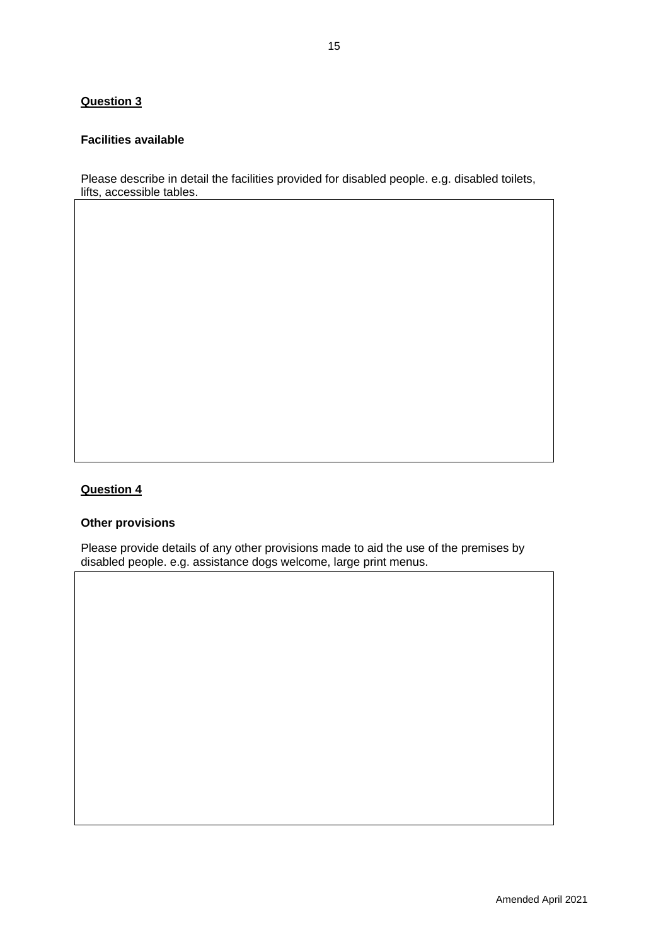### **Facilities available**

Please describe in detail the facilities provided for disabled people. e.g. disabled toilets, lifts, accessible tables.

# **Question 4**

# **Other provisions**

Please provide details of any other provisions made to aid the use of the premises by disabled people. e.g. assistance dogs welcome, large print menus.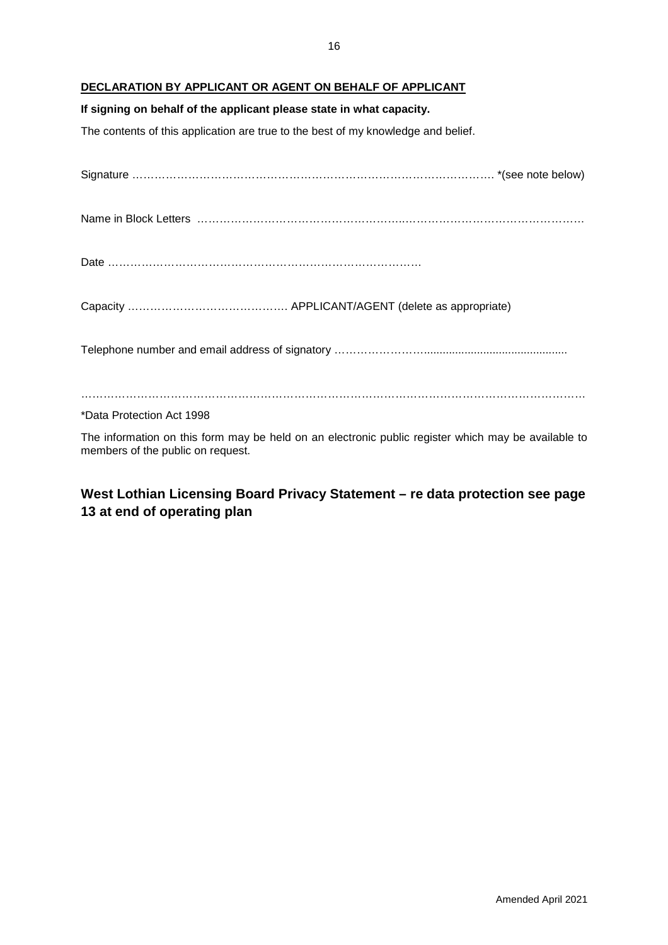### **DECLARATION BY APPLICANT OR AGENT ON BEHALF OF APPLICANT**

### **If signing on behalf of the applicant please state in what capacity.**

The contents of this application are true to the best of my knowledge and belief.

| *Data Protection Act 1998 |  |
|---------------------------|--|
|                           |  |

The information on this form may be held on an electronic public register which may be available to members of the public on request.

# **West Lothian Licensing Board Privacy Statement – re data protection see page 13 at end of operating plan**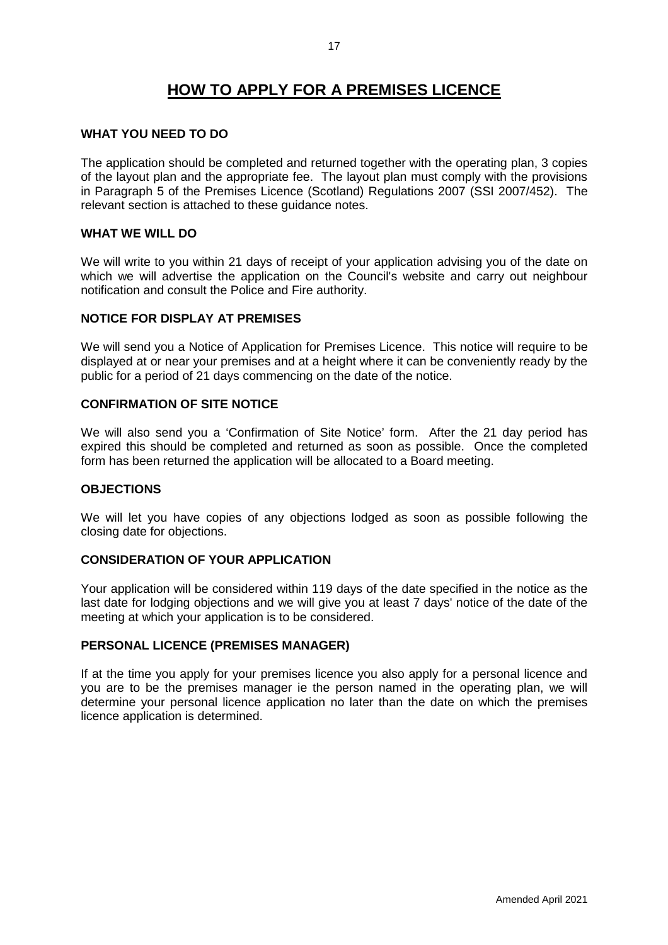# **HOW TO APPLY FOR A PREMISES LICENCE**

### **WHAT YOU NEED TO DO**

The application should be completed and returned together with the operating plan, 3 copies of the layout plan and the appropriate fee. The layout plan must comply with the provisions in Paragraph 5 of the Premises Licence (Scotland) Regulations 2007 (SSI 2007/452). The relevant section is attached to these guidance notes.

### **WHAT WE WILL DO**

We will write to you within 21 days of receipt of your application advising you of the date on which we will advertise the application on the Council's website and carry out neighbour notification and consult the Police and Fire authority.

### **NOTICE FOR DISPLAY AT PREMISES**

We will send you a Notice of Application for Premises Licence. This notice will require to be displayed at or near your premises and at a height where it can be conveniently ready by the public for a period of 21 days commencing on the date of the notice.

# **CONFIRMATION OF SITE NOTICE**

We will also send you a 'Confirmation of Site Notice' form. After the 21 day period has expired this should be completed and returned as soon as possible. Once the completed form has been returned the application will be allocated to a Board meeting.

### **OBJECTIONS**

We will let you have copies of any objections lodged as soon as possible following the closing date for objections.

## **CONSIDERATION OF YOUR APPLICATION**

Your application will be considered within 119 days of the date specified in the notice as the last date for lodging objections and we will give you at least 7 days' notice of the date of the meeting at which your application is to be considered.

### **PERSONAL LICENCE (PREMISES MANAGER)**

If at the time you apply for your premises licence you also apply for a personal licence and you are to be the premises manager ie the person named in the operating plan, we will determine your personal licence application no later than the date on which the premises licence application is determined.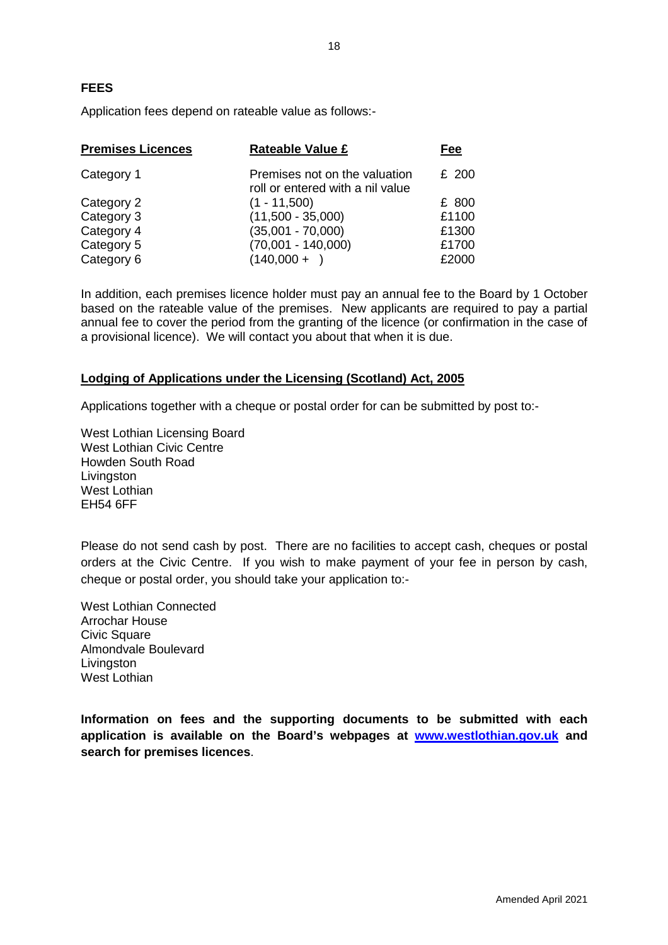Application fees depend on rateable value as follows:-

| <b>Premises Licences</b> | <b>Rateable Value £</b>                                           | Fee   |
|--------------------------|-------------------------------------------------------------------|-------|
| Category 1               | Premises not on the valuation<br>roll or entered with a nil value | £ 200 |
| Category 2               | $(1 - 11,500)$                                                    | £ 800 |
| Category 3               | $(11,500 - 35,000)$                                               | £1100 |
| Category 4               | $(35,001 - 70,000)$                                               | £1300 |
| Category 5               | $(70,001 - 140,000)$                                              | £1700 |
| Category 6               | $(140,000 +$                                                      | £2000 |

In addition, each premises licence holder must pay an annual fee to the Board by 1 October based on the rateable value of the premises. New applicants are required to pay a partial annual fee to cover the period from the granting of the licence (or confirmation in the case of a provisional licence). We will contact you about that when it is due.

# **Lodging of Applications under the Licensing (Scotland) Act, 2005**

Applications together with a cheque or postal order for can be submitted by post to:-

West Lothian Licensing Board West Lothian Civic Centre Howden South Road Livingston West Lothian EH54 6FF

Please do not send cash by post. There are no facilities to accept cash, cheques or postal orders at the Civic Centre. If you wish to make payment of your fee in person by cash, cheque or postal order, you should take your application to:-

West Lothian Connected Arrochar House Civic Square Almondvale Boulevard **Livingston** West Lothian

**Information on fees and the supporting documents to be submitted with each application is available on the Board's webpages at www.westlothian.gov.uk and search for premises licences**.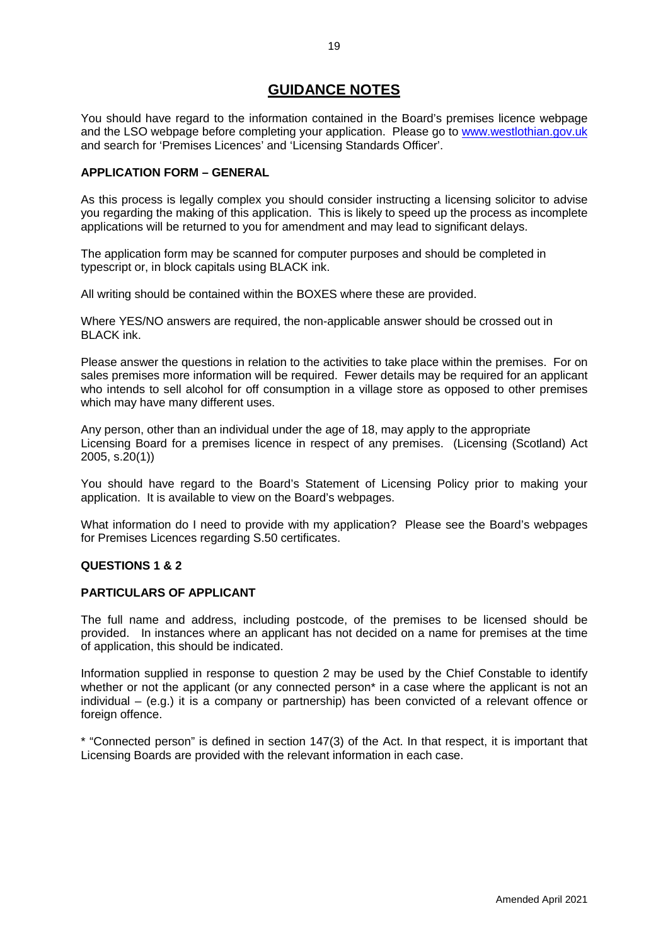# **GUIDANCE NOTES**

You should have regard to the information contained in the Board's premises licence webpage and the LSO webpage before completing your application. Please go to www.westlothian.gov.uk and search for 'Premises Licences' and 'Licensing Standards Officer'.

### **APPLICATION FORM – GENERAL**

As this process is legally complex you should consider instructing a licensing solicitor to advise you regarding the making of this application. This is likely to speed up the process as incomplete applications will be returned to you for amendment and may lead to significant delays.

The application form may be scanned for computer purposes and should be completed in typescript or, in block capitals using BLACK ink.

All writing should be contained within the BOXES where these are provided.

Where YES/NO answers are required, the non-applicable answer should be crossed out in BLACK ink.

Please answer the questions in relation to the activities to take place within the premises. For on sales premises more information will be required. Fewer details may be required for an applicant who intends to sell alcohol for off consumption in a village store as opposed to other premises which may have many different uses.

Any person, other than an individual under the age of 18, may apply to the appropriate Licensing Board for a premises licence in respect of any premises. (Licensing (Scotland) Act 2005, s.20(1))

You should have regard to the Board's Statement of Licensing Policy prior to making your application. It is available to view on the Board's webpages.

What information do I need to provide with my application? Please see the Board's webpages for Premises Licences regarding S.50 certificates.

### **QUESTIONS 1 & 2**

### **PARTICULARS OF APPLICANT**

The full name and address, including postcode, of the premises to be licensed should be provided. In instances where an applicant has not decided on a name for premises at the time of application, this should be indicated.

Information supplied in response to question 2 may be used by the Chief Constable to identify whether or not the applicant (or any connected person<sup>\*</sup> in a case where the applicant is not an individual – (e.g.) it is a company or partnership) has been convicted of a relevant offence or foreign offence.

\* "Connected person" is defined in section 147(3) of the Act. In that respect, it is important that Licensing Boards are provided with the relevant information in each case.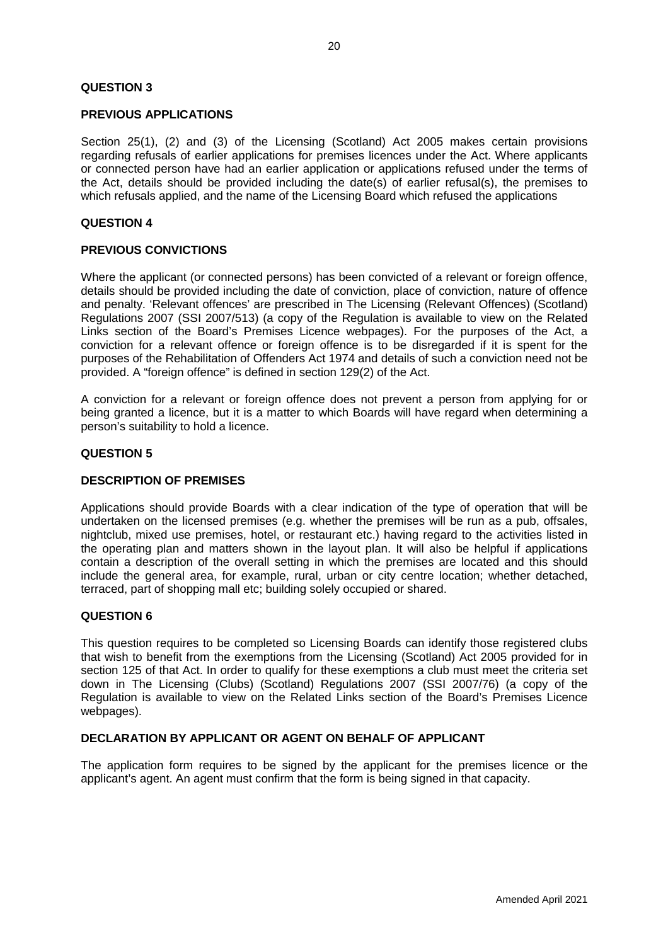### **QUESTION 3**

### **PREVIOUS APPLICATIONS**

Section 25(1), (2) and (3) of the Licensing (Scotland) Act 2005 makes certain provisions regarding refusals of earlier applications for premises licences under the Act. Where applicants or connected person have had an earlier application or applications refused under the terms of the Act, details should be provided including the date(s) of earlier refusal(s), the premises to which refusals applied, and the name of the Licensing Board which refused the applications

### **QUESTION 4**

### **PREVIOUS CONVICTIONS**

Where the applicant (or connected persons) has been convicted of a relevant or foreign offence, details should be provided including the date of conviction, place of conviction, nature of offence and penalty. 'Relevant offences' are prescribed in The Licensing (Relevant Offences) (Scotland) Regulations 2007 (SSI 2007/513) (a copy of the Regulation is available to view on the Related Links section of the Board's Premises Licence webpages). For the purposes of the Act, a conviction for a relevant offence or foreign offence is to be disregarded if it is spent for the purposes of the Rehabilitation of Offenders Act 1974 and details of such a conviction need not be provided. A "foreign offence" is defined in section 129(2) of the Act.

A conviction for a relevant or foreign offence does not prevent a person from applying for or being granted a licence, but it is a matter to which Boards will have regard when determining a person's suitability to hold a licence.

### **QUESTION 5**

### **DESCRIPTION OF PREMISES**

Applications should provide Boards with a clear indication of the type of operation that will be undertaken on the licensed premises (e.g. whether the premises will be run as a pub, offsales, nightclub, mixed use premises, hotel, or restaurant etc.) having regard to the activities listed in the operating plan and matters shown in the layout plan. It will also be helpful if applications contain a description of the overall setting in which the premises are located and this should include the general area, for example, rural, urban or city centre location; whether detached, terraced, part of shopping mall etc; building solely occupied or shared.

### **QUESTION 6**

This question requires to be completed so Licensing Boards can identify those registered clubs that wish to benefit from the exemptions from the Licensing (Scotland) Act 2005 provided for in section 125 of that Act. In order to qualify for these exemptions a club must meet the criteria set down in The Licensing (Clubs) (Scotland) Regulations 2007 (SSI 2007/76) (a copy of the Regulation is available to view on the Related Links section of the Board's Premises Licence webpages).

### **DECLARATION BY APPLICANT OR AGENT ON BEHALF OF APPLICANT**

The application form requires to be signed by the applicant for the premises licence or the applicant's agent. An agent must confirm that the form is being signed in that capacity.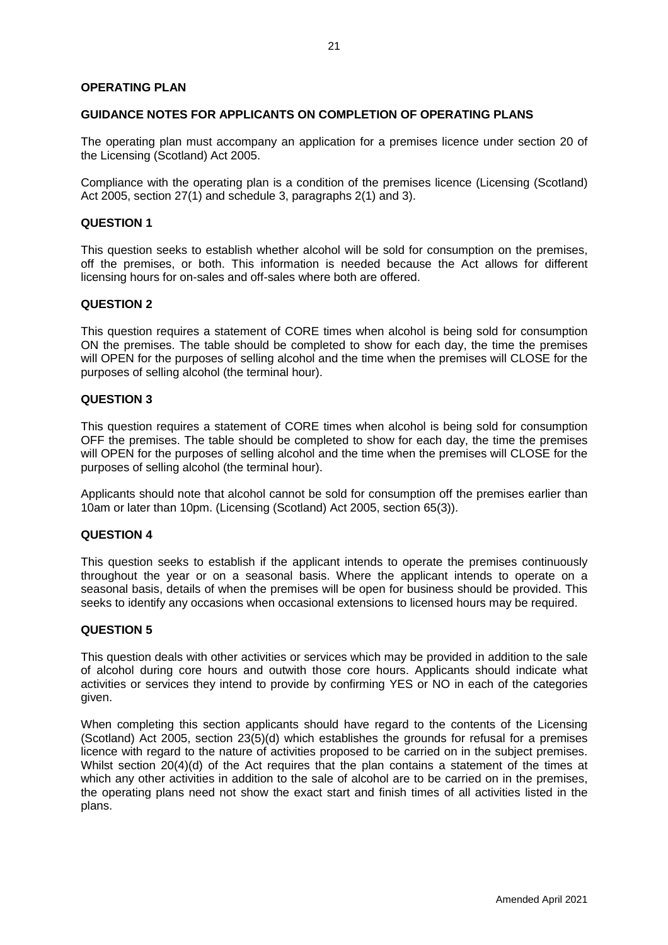### **OPERATING PLAN**

### **GUIDANCE NOTES FOR APPLICANTS ON COMPLETION OF OPERATING PLANS**

The operating plan must accompany an application for a premises licence under section 20 of the Licensing (Scotland) Act 2005.

Compliance with the operating plan is a condition of the premises licence (Licensing (Scotland) Act 2005, section 27(1) and schedule 3, paragraphs 2(1) and 3).

### **QUESTION 1**

This question seeks to establish whether alcohol will be sold for consumption on the premises, off the premises, or both. This information is needed because the Act allows for different licensing hours for on-sales and off-sales where both are offered.

### **QUESTION 2**

This question requires a statement of CORE times when alcohol is being sold for consumption ON the premises. The table should be completed to show for each day, the time the premises will OPEN for the purposes of selling alcohol and the time when the premises will CLOSE for the purposes of selling alcohol (the terminal hour).

### **QUESTION 3**

This question requires a statement of CORE times when alcohol is being sold for consumption OFF the premises. The table should be completed to show for each day, the time the premises will OPEN for the purposes of selling alcohol and the time when the premises will CLOSE for the purposes of selling alcohol (the terminal hour).

Applicants should note that alcohol cannot be sold for consumption off the premises earlier than 10am or later than 10pm. (Licensing (Scotland) Act 2005, section 65(3)).

#### **QUESTION 4**

This question seeks to establish if the applicant intends to operate the premises continuously throughout the year or on a seasonal basis. Where the applicant intends to operate on a seasonal basis, details of when the premises will be open for business should be provided. This seeks to identify any occasions when occasional extensions to licensed hours may be required.

### **QUESTION 5**

This question deals with other activities or services which may be provided in addition to the sale of alcohol during core hours and outwith those core hours. Applicants should indicate what activities or services they intend to provide by confirming YES or NO in each of the categories given.

When completing this section applicants should have regard to the contents of the Licensing (Scotland) Act 2005, section 23(5)(d) which establishes the grounds for refusal for a premises licence with regard to the nature of activities proposed to be carried on in the subject premises. Whilst section 20(4)(d) of the Act requires that the plan contains a statement of the times at which any other activities in addition to the sale of alcohol are to be carried on in the premises, the operating plans need not show the exact start and finish times of all activities listed in the plans.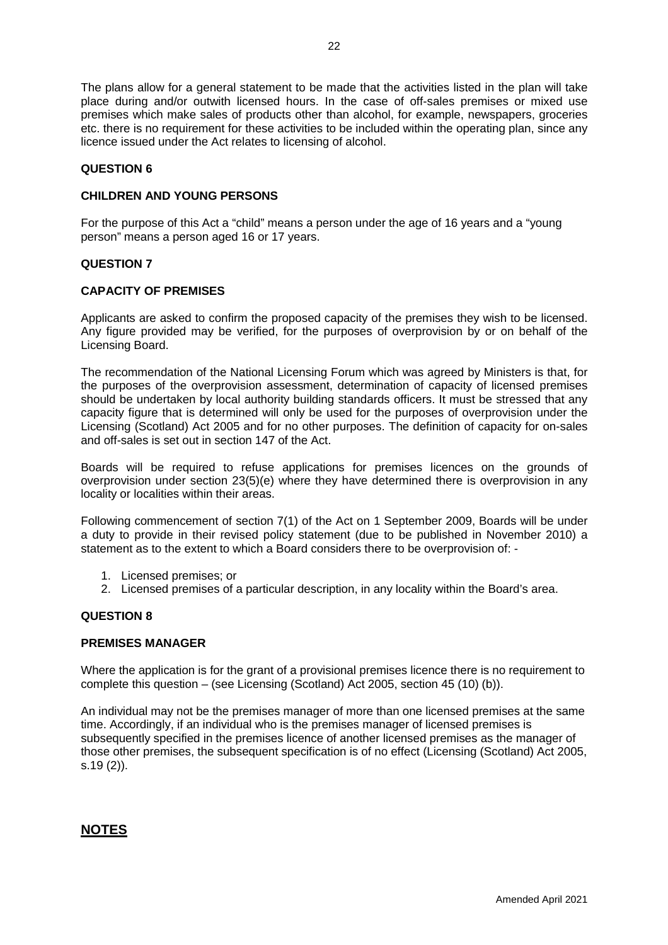The plans allow for a general statement to be made that the activities listed in the plan will take place during and/or outwith licensed hours. In the case of off-sales premises or mixed use premises which make sales of products other than alcohol, for example, newspapers, groceries etc. there is no requirement for these activities to be included within the operating plan, since any licence issued under the Act relates to licensing of alcohol.

### **QUESTION 6**

### **CHILDREN AND YOUNG PERSONS**

For the purpose of this Act a "child" means a person under the age of 16 years and a "young person" means a person aged 16 or 17 years.

### **QUESTION 7**

### **CAPACITY OF PREMISES**

Applicants are asked to confirm the proposed capacity of the premises they wish to be licensed. Any figure provided may be verified, for the purposes of overprovision by or on behalf of the Licensing Board.

The recommendation of the National Licensing Forum which was agreed by Ministers is that, for the purposes of the overprovision assessment, determination of capacity of licensed premises should be undertaken by local authority building standards officers. It must be stressed that any capacity figure that is determined will only be used for the purposes of overprovision under the Licensing (Scotland) Act 2005 and for no other purposes. The definition of capacity for on-sales and off-sales is set out in section 147 of the Act.

Boards will be required to refuse applications for premises licences on the grounds of overprovision under section 23(5)(e) where they have determined there is overprovision in any locality or localities within their areas.

Following commencement of section 7(1) of the Act on 1 September 2009, Boards will be under a duty to provide in their revised policy statement (due to be published in November 2010) a statement as to the extent to which a Board considers there to be overprovision of: -

- 1. Licensed premises; or
- 2. Licensed premises of a particular description, in any locality within the Board's area.

### **QUESTION 8**

### **PREMISES MANAGER**

Where the application is for the grant of a provisional premises licence there is no requirement to complete this question – (see Licensing (Scotland) Act 2005, section 45 (10) (b)).

An individual may not be the premises manager of more than one licensed premises at the same time. Accordingly, if an individual who is the premises manager of licensed premises is subsequently specified in the premises licence of another licensed premises as the manager of those other premises, the subsequent specification is of no effect (Licensing (Scotland) Act 2005, s.19 (2)).

# **NOTES**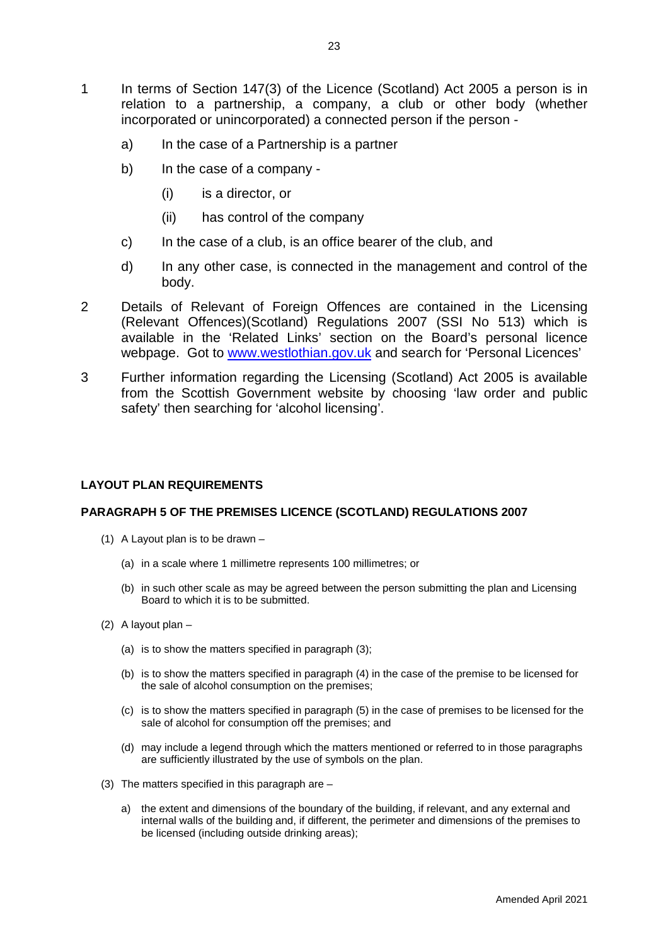- 1 In terms of Section 147(3) of the Licence (Scotland) Act 2005 a person is in relation to a partnership, a company, a club or other body (whether incorporated or unincorporated) a connected person if the person
	- a) In the case of a Partnership is a partner
	- b) In the case of a company
		- (i) is a director, or
		- (ii) has control of the company
	- c) In the case of a club, is an office bearer of the club, and
	- d) In any other case, is connected in the management and control of the body.
- 2 Details of Relevant of Foreign Offences are contained in the Licensing (Relevant Offences)(Scotland) Regulations 2007 (SSI No 513) which is available in the 'Related Links' section on the Board's personal licence webpage. Got to www.westlothian.gov.uk and search for 'Personal Licences'
- 3 Further information regarding the Licensing (Scotland) Act 2005 is available from the Scottish Government website by choosing 'law order and public safety' then searching for 'alcohol licensing'.

### **LAYOUT PLAN REQUIREMENTS**

### **PARAGRAPH 5 OF THE PREMISES LICENCE (SCOTLAND) REGULATIONS 2007**

- (1) A Layout plan is to be drawn
	- (a) in a scale where 1 millimetre represents 100 millimetres; or
	- (b) in such other scale as may be agreed between the person submitting the plan and Licensing Board to which it is to be submitted.
- (2) A layout plan
	- (a) is to show the matters specified in paragraph (3);
	- (b) is to show the matters specified in paragraph (4) in the case of the premise to be licensed for the sale of alcohol consumption on the premises;
	- (c) is to show the matters specified in paragraph (5) in the case of premises to be licensed for the sale of alcohol for consumption off the premises; and
	- (d) may include a legend through which the matters mentioned or referred to in those paragraphs are sufficiently illustrated by the use of symbols on the plan.
- (3) The matters specified in this paragraph are
	- a) the extent and dimensions of the boundary of the building, if relevant, and any external and internal walls of the building and, if different, the perimeter and dimensions of the premises to be licensed (including outside drinking areas);